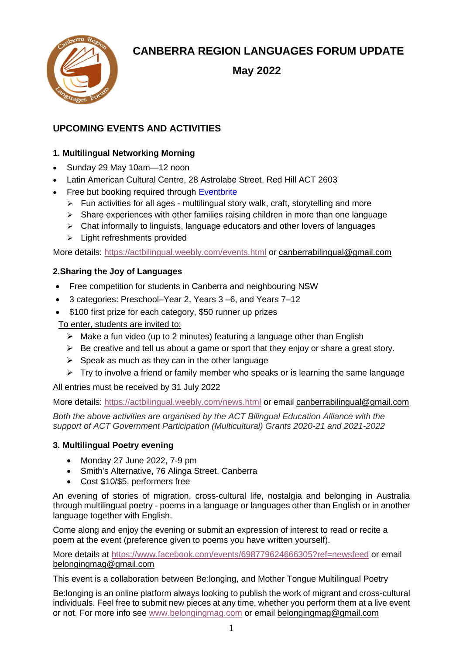

# **CANBERRA REGION LANGUAGES FORUM UPDATE**

 **May 2022**

# **UPCOMING EVENTS AND ACTIVITIES**

# **1. Multilingual Networking Morning**

- Sunday 29 May 10am—12 noon
- Latin American Cultural Centre, 28 Astrolabe Street, Red Hill ACT 2603
- **Free but booking required through [Eventbrite](https://www.eventbrite.com.au/e/multilingual-networking-morning-tickets-340980149807?fbclid=IwAhttps://www.eventbrite.com.au/e/multilingual-networking-morning-tickets-340980149807?fbclid=IwAR1RdZ7tglp0PEKpfZo8YoQPYTLAVInD_CyxjP1wH8bD2lvPT-v0xzU0nvQ)** 
	- $\triangleright$  Fun activities for all ages multilingual story walk, craft, storytelling and more
	- ➢ Share experiences with other families raising children in more than one language
	- ➢ Chat informally to linguists, language educators and other lovers of languages
	- ➢ Light refreshments provided

More details:<https://actbilingual.weebly.com/events.html> or [canberrabilingual@gmail.com](mailto:canberrabilingual@gmail.com)

## **2.Sharing the Joy of Languages**

- Free competition for students in Canberra and neighbouring NSW
- 3 categories: Preschool–Year 2, Years 3 –6, and Years 7–12
- \$100 first prize for each category, \$50 runner up prizes

# To enter, students are invited to:

- $\triangleright$  Make a fun video (up to 2 minutes) featuring a language other than English
- $\triangleright$  Be creative and tell us about a game or sport that they enjoy or share a great story.
- $\triangleright$  Speak as much as they can in the other language
- $\triangleright$  Try to involve a friend or family member who speaks or is learning the same language

All entries must be received by 31 July 2022

More details:<https://actbilingual.weebly.com/news.html> or email canberrabilingual@gmail.com

*Both the above activities are* o*rganised by the ACT Bilingual Education Alliance with the support of ACT Government Participation (Multicultural) Grants 2020-21 and 2021-2022*

## **3. Multilingual Poetry evening**

- Monday 27 June 2022, 7-9 pm
- Smith's Alternative, 76 Alinga Street, Canberra
- Cost \$10/\$5, performers free

An evening of stories of migration, cross-cultural life, nostalgia and belonging in Australia through multilingual poetry - poems in a language or languages other than English or in another language together with English.

Come along and enjoy the evening or submit an expression of interest to read or recite a poem at the event (preference given to poems you have written yourself).

More details at<https://www.facebook.com/events/698779624666305?ref=newsfeed> or email belongingmag@gmail.com

This event is a collaboration between Be:longing, and [Mother Tongue Multilingual Poetry](https://facebook.us17.list-manage.com/track/click?u=444019a393a6101906666c208&id=d04d979724&e=2fec5513aa)

Be:longing is an online platform always looking to publish the work of migrant and cross-cultural individuals. Feel free to submit new pieces at any time, whether you perform them at a live event or not. For more info see [www.belongingmag.com](https://facebook.us17.list-manage.com/track/click?u=444019a393a6101906666c208&id=975e2f72a9&e=2fec5513aa) or email belongingmag@gmail.com